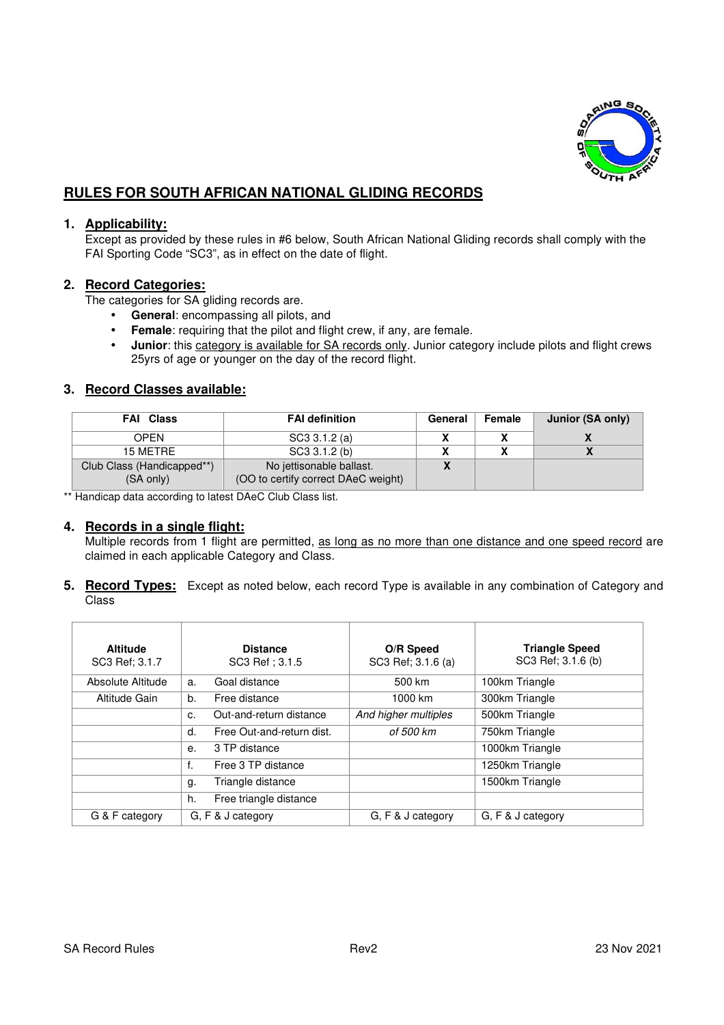

# **RULES FOR SOUTH AFRICAN NATIONAL GLIDING RECORDS**

## **1. Applicability:**

Except as provided by these rules in #6 below, South African National Gliding records shall comply with the FAI Sporting Code "SC3", as in effect on the date of flight.

#### **2. Record Categories:**

The categories for SA gliding records are.

- **General**: encompassing all pilots, and
- **Female**: requiring that the pilot and flight crew, if any, are female.
- **Junior**: this category is available for SA records only. Junior category include pilots and flight crews 25yrs of age or younger on the day of the record flight.

## **3. Record Classes available:**

| <b>FAI</b> Class                        | <b>FAI definition</b>                                           | General | <b>Female</b> | Junior (SA only) |
|-----------------------------------------|-----------------------------------------------------------------|---------|---------------|------------------|
| OPFN                                    | SC3 3.1.2 (a)                                                   |         |               |                  |
| 15 METRE                                | SC3 3.1.2 (b)                                                   |         |               |                  |
| Club Class (Handicapped**)<br>(SA only) | No jettisonable ballast.<br>(OO to certify correct DAeC weight) |         |               |                  |

\*\* Handicap data according to latest DAeC Club Class list.

#### **4. Records in a single flight:**

Multiple records from 1 flight are permitted, as long as no more than one distance and one speed record are claimed in each applicable Category and Class.

**5. Record Types:** Except as noted below, each record Type is available in any combination of Category and Class

| <b>Altitude</b>   | <b>Distance</b>                 | O/R Speed            | <b>Triangle Speed</b> |
|-------------------|---------------------------------|----------------------|-----------------------|
| SC3 Ref: 3.1.7    | SC3 Ref: 3.1.5                  | SC3 Ref: 3.1.6 (a)   | SC3 Ref; 3.1.6 (b)    |
| Absolute Altitude | Goal distance<br>a.             | 500 km               | 100km Triangle        |
| Altitude Gain     | Free distance<br>b.             | 1000 km              | 300km Triangle        |
|                   | Out-and-return distance<br>c.   | And higher multiples | 500km Triangle        |
|                   | Free Out-and-return dist.<br>d. | of 500 km            | 750km Triangle        |
|                   | 3 TP distance<br>е.             |                      | 1000km Triangle       |
|                   | f.<br>Free 3 TP distance        |                      | 1250km Triangle       |
|                   | Triangle distance<br>g.         |                      | 1500km Triangle       |
|                   | Free triangle distance<br>h.    |                      |                       |
| G & F category    | G, F & J category               | G, F & J category    | G, F & J category     |